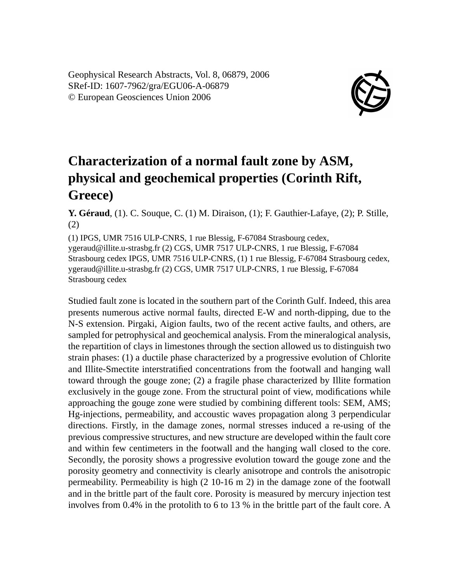Geophysical Research Abstracts, Vol. 8, 06879, 2006 SRef-ID: 1607-7962/gra/EGU06-A-06879 © European Geosciences Union 2006



## **Characterization of a normal fault zone by ASM, physical and geochemical properties (Corinth Rift, Greece)**

**Y. Géraud**, (1). C. Souque, C. (1) M. Diraison, (1); F. Gauthier-Lafaye, (2); P. Stille, (2)

(1) IPGS, UMR 7516 ULP-CNRS, 1 rue Blessig, F-67084 Strasbourg cedex, ygeraud@illite.u-strasbg.fr (2) CGS, UMR 7517 ULP-CNRS, 1 rue Blessig, F-67084 Strasbourg cedex IPGS, UMR 7516 ULP-CNRS, (1) 1 rue Blessig, F-67084 Strasbourg cedex, ygeraud@illite.u-strasbg.fr (2) CGS, UMR 7517 ULP-CNRS, 1 rue Blessig, F-67084 Strasbourg cedex

Studied fault zone is located in the southern part of the Corinth Gulf. Indeed, this area presents numerous active normal faults, directed E-W and north-dipping, due to the N-S extension. Pirgaki, Aigion faults, two of the recent active faults, and others, are sampled for petrophysical and geochemical analysis. From the mineralogical analysis, the repartition of clays in limestones through the section allowed us to distinguish two strain phases: (1) a ductile phase characterized by a progressive evolution of Chlorite and Illite-Smectite interstratified concentrations from the footwall and hanging wall toward through the gouge zone; (2) a fragile phase characterized by Illite formation exclusively in the gouge zone. From the structural point of view, modifications while approaching the gouge zone were studied by combining different tools: SEM, AMS; Hg-injections, permeability, and accoustic waves propagation along 3 perpendicular directions. Firstly, in the damage zones, normal stresses induced a re-using of the previous compressive structures, and new structure are developed within the fault core and within few centimeters in the footwall and the hanging wall closed to the core. Secondly, the porosity shows a progressive evolution toward the gouge zone and the porosity geometry and connectivity is clearly anisotrope and controls the anisotropic permeability. Permeability is high (2 10-16 m 2) in the damage zone of the footwall and in the brittle part of the fault core. Porosity is measured by mercury injection test involves from 0.4% in the protolith to 6 to 13 % in the brittle part of the fault core. A